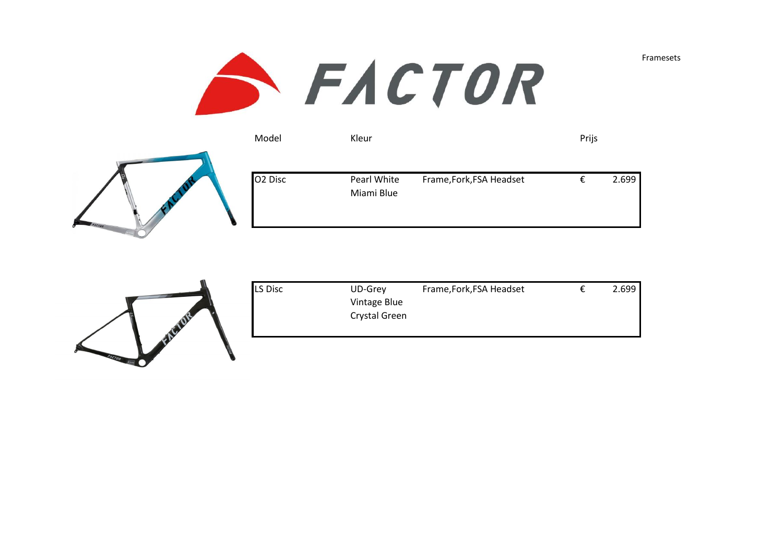

| Model               | Kleur                     |                          | Prijs |       |
|---------------------|---------------------------|--------------------------|-------|-------|
| O <sub>2</sub> Disc | Pearl White<br>Miami Blue | Frame, Fork, FSA Headset |       | 2.699 |



| LS Disc | UD-Grey       | Frame, Fork, FSA Headset | 2.699 |
|---------|---------------|--------------------------|-------|
|         | Vintage Blue  |                          |       |
|         | Crystal Green |                          |       |
|         |               |                          |       |

Framesets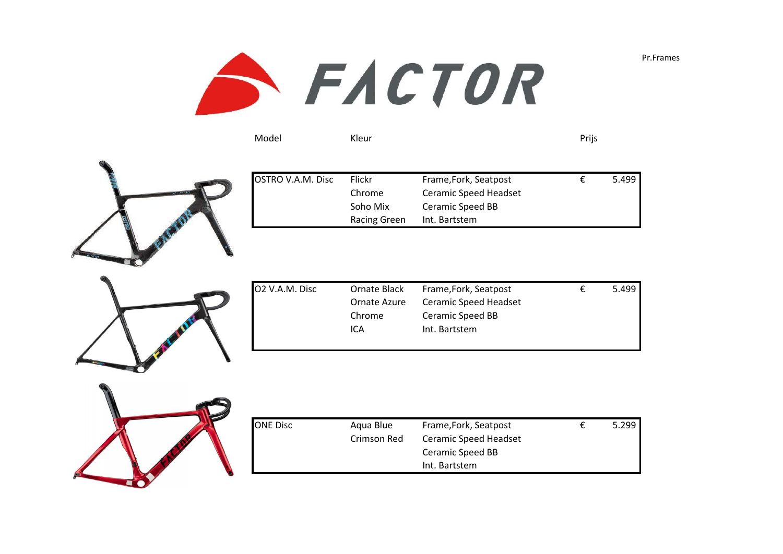

| Model | Kleur | Prijs |
|-------|-------|-------|
|       |       |       |
|       |       |       |



| OSTRO V.A.M. Disc | Flickr       | Frame, Fork, Seatpost | £. | 5.499 |
|-------------------|--------------|-----------------------|----|-------|
|                   | Chrome       | Ceramic Speed Headset |    |       |
|                   | Soho Mix     | Ceramic Speed BB      |    |       |
|                   | Racing Green | Int. Bartstem         |    |       |
|                   |              |                       |    |       |



| O2 V.A.M. Disc | Ornate Black | Frame, Fork, Seatpost | € | 5.499 |
|----------------|--------------|-----------------------|---|-------|
|                | Ornate Azure | Ceramic Speed Headset |   |       |
|                | Chrome       | Ceramic Speed BB      |   |       |
|                | ICA          | Int. Bartstem         |   |       |
|                |              |                       |   |       |



| ONE Disc | Aqua Blue   | Frame, Fork, Seatpost | 5.299 |
|----------|-------------|-----------------------|-------|
|          | Crimson Red | Ceramic Speed Headset |       |
|          |             | Ceramic Speed BB      |       |
|          |             | Int. Bartstem         |       |

Pr.Frames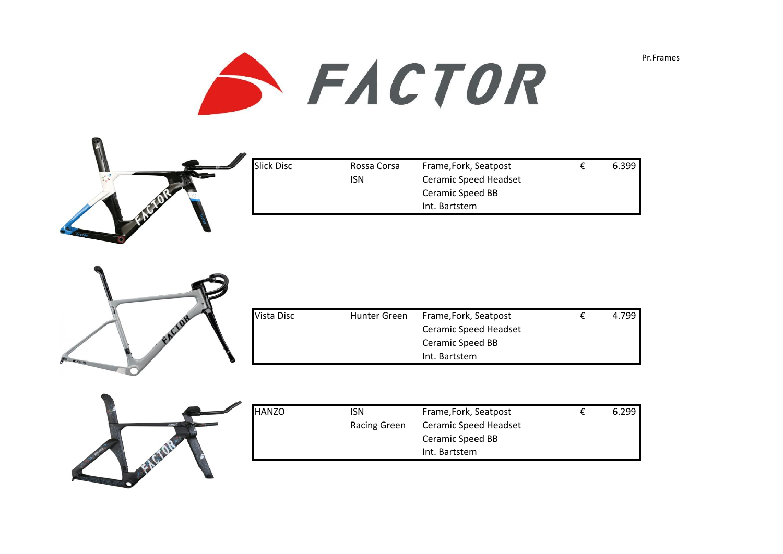



| Slick Disc | Rossa Corsa | Frame, Fork, Seatpost        | 6.399 |
|------------|-------------|------------------------------|-------|
|            | ISN         | <b>Ceramic Speed Headset</b> |       |
|            |             | Ceramic Speed BB             |       |
|            |             | Int. Bartstem                |       |
|            |             |                              |       |



| <b>Vista Disc</b> | Hunter Green | Frame, Fork, Seatpost | 4.799 |
|-------------------|--------------|-----------------------|-------|
|                   |              | Ceramic Speed Headset |       |
|                   |              | Ceramic Speed BB      |       |
|                   |              | Int. Bartstem         |       |



| HANZO | isn          | Frame, Fork, Seatpost        | 6.299 |
|-------|--------------|------------------------------|-------|
|       | Racing Green | <b>Ceramic Speed Headset</b> |       |
|       |              | Ceramic Speed BB             |       |
|       |              | Int. Bartstem                |       |
|       |              |                              |       |

Pr.Frames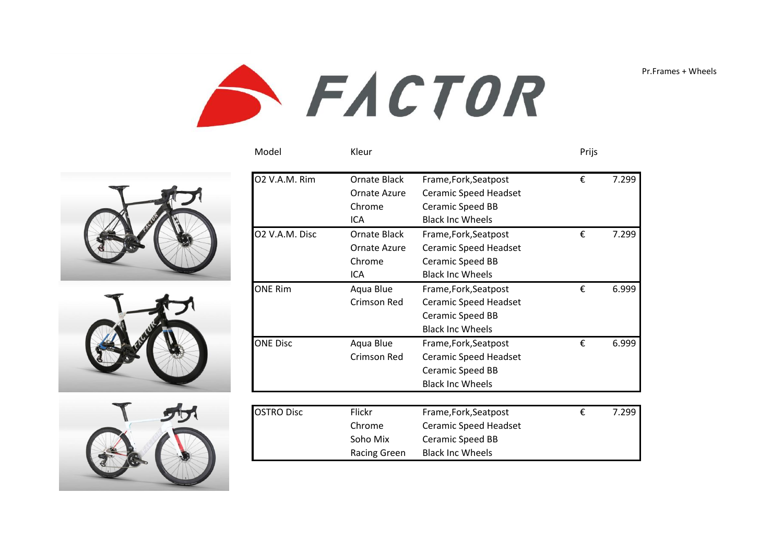Pr.Frames + Wheels









| 02 V.A.M. Rim     | Ornate Black        | Frame, Fork, Seatpost        | € | 7.299 |
|-------------------|---------------------|------------------------------|---|-------|
|                   | Ornate Azure        | <b>Ceramic Speed Headset</b> |   |       |
|                   |                     |                              |   |       |
|                   | Chrome              | Ceramic Speed BB             |   |       |
|                   | <b>ICA</b>          | <b>Black Inc Wheels</b>      |   |       |
| 02 V.A.M. Disc    | Ornate Black        | Frame, Fork, Seatpost        | € | 7.299 |
|                   | Ornate Azure        | <b>Ceramic Speed Headset</b> |   |       |
|                   | Chrome              | Ceramic Speed BB             |   |       |
|                   | <b>ICA</b>          | <b>Black Inc Wheels</b>      |   |       |
| <b>ONE Rim</b>    | Aqua Blue           | Frame, Fork, Seatpost        | € | 6.999 |
|                   | Crimson Red         | Ceramic Speed Headset        |   |       |
|                   |                     | Ceramic Speed BB             |   |       |
|                   |                     | <b>Black Inc Wheels</b>      |   |       |
| <b>ONE Disc</b>   | Aqua Blue           | Frame, Fork, Seatpost        | € | 6.999 |
|                   | Crimson Red         | <b>Ceramic Speed Headset</b> |   |       |
|                   |                     | <b>Ceramic Speed BB</b>      |   |       |
|                   |                     | <b>Black Inc Wheels</b>      |   |       |
|                   |                     |                              |   |       |
| <b>OSTRO Disc</b> | Flickr              | Frame, Fork, Seatpost        | € | 7.299 |
|                   | Chrome              | <b>Ceramic Speed Headset</b> |   |       |
|                   | Soho Mix            | Ceramic Speed BB             |   |       |
|                   | <b>Racing Green</b> | <b>Black Inc Wheels</b>      |   |       |

Model Kleur Prijs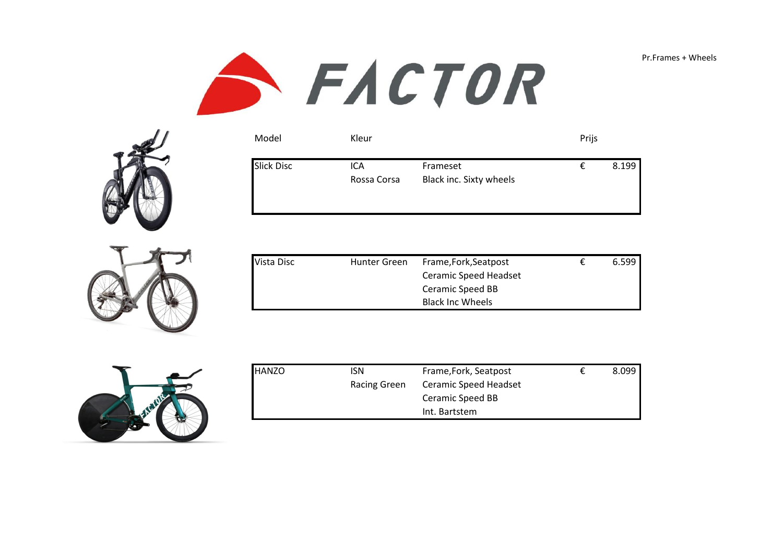





| Model             | Kleur              |                                     | Prijs |       |
|-------------------|--------------------|-------------------------------------|-------|-------|
| <b>Slick Disc</b> | ICA<br>Rossa Corsa | Frameset<br>Black inc. Sixty wheels | €     | 8.199 |

| Vista Disc | Hunter Green | Frame, Fork, Seatpost   | 6.599 |
|------------|--------------|-------------------------|-------|
|            |              | Ceramic Speed Headset   |       |
|            |              | Ceramic Speed BB        |       |
|            |              | <b>Black Inc Wheels</b> |       |



| <b>HANZO</b> | isn                 | Frame, Fork, Seatpost | 8.099 |
|--------------|---------------------|-----------------------|-------|
|              | <b>Racing Green</b> | Ceramic Speed Headset |       |
|              |                     | Ceramic Speed BB      |       |
|              |                     | Int. Bartstem         |       |

Pr.Frames + Wheels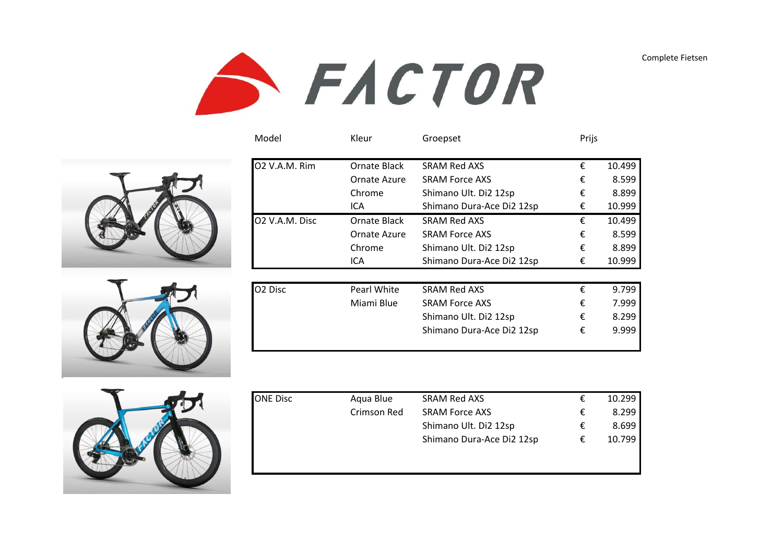Complete Fietsen









| Model               | Kleur        | Groepset                  | Prijs |        |
|---------------------|--------------|---------------------------|-------|--------|
| 02 V.A.M. Rim       | Ornate Black | <b>SRAM Red AXS</b>       | €     | 10.499 |
|                     | Ornate Azure | <b>SRAM Force AXS</b>     | €     | 8.599  |
|                     | Chrome       | Shimano Ult. Di2 12sp     | €     | 8.899  |
|                     | ICA          | Shimano Dura-Ace Di2 12sp | €     | 10.999 |
| 02 V.A.M. Disc      | Ornate Black | SRAM Red AXS              | €     | 10.499 |
|                     | Ornate Azure | <b>SRAM Force AXS</b>     | €     | 8.599  |
|                     | Chrome       | Shimano Ult. Di2 12sp     | €     | 8.899  |
|                     | ICA          | Shimano Dura-Ace Di2 12sp | €     | 10.999 |
|                     |              |                           |       |        |
| O <sub>2</sub> Disc | Pearl White  | <b>SRAM Red AXS</b>       | €     | 9.799  |
|                     | Miami Blue   | <b>SRAM Force AXS</b>     | €     | 7.999  |
|                     |              | Shimano Ult. Di2 12sp     | €     | 8.299  |
|                     |              | Shimano Dura-Ace Di2 12sp | €     | 9.999  |
|                     |              |                           |       |        |

| ONE Disc | Aqua Blue   | <b>SRAM Red AXS</b>       | € | 10.299 |
|----------|-------------|---------------------------|---|--------|
|          | Crimson Red | <b>SRAM Force AXS</b>     | € | 8.299  |
|          |             | Shimano Ult. Di2 12sp     | € | 8.699  |
|          |             | Shimano Dura-Ace Di2 12sp | € | 10.799 |
|          |             |                           |   |        |
|          |             |                           |   |        |
|          |             |                           |   |        |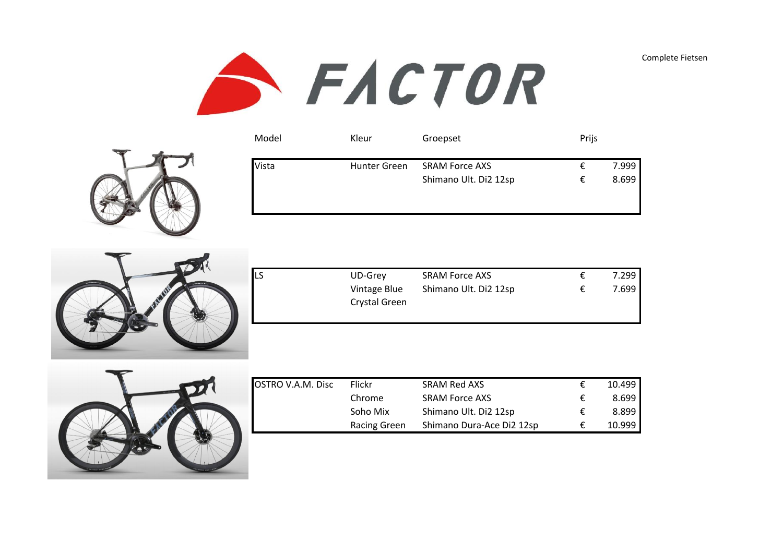Complete Fietsen



| Model | Kleur        | Groepset                                       | Prijs  |                |
|-------|--------------|------------------------------------------------|--------|----------------|
| Vista | Hunter Green | <b>SRAM Force AXS</b><br>Shimano Ult. Di2 12sp | €<br>€ | 7.999<br>8.699 |
|       |              |                                                |        |                |



| LS | UD-Grey       | <b>SRAM Force AXS</b> | 7.299 |
|----|---------------|-----------------------|-------|
|    | Vintage Blue  | Shimano Ult. Di2 12sp | 7.699 |
|    | Crystal Green |                       |       |
|    |               |                       |       |



| OSTRO V.A.M. Disc | Flickr       | SRAM Red AXS              |   | 10.499 |
|-------------------|--------------|---------------------------|---|--------|
|                   | Chrome       | <b>SRAM Force AXS</b>     | ŧ | 8.699  |
|                   | Soho Mix     | Shimano Ult. Di2 12sp     | € | 8.899  |
|                   | Racing Green | Shimano Dura-Ace Di2 12sp |   | 10.999 |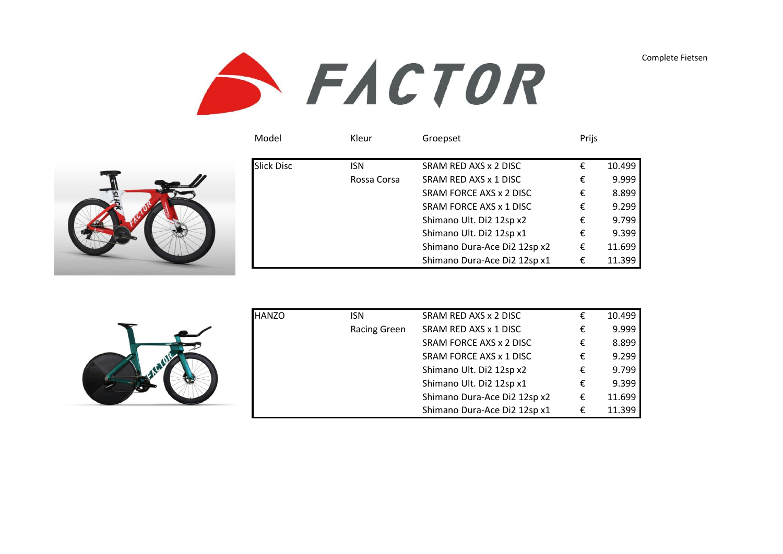Complete Fietsen



| Model             | Kleur       | Groepset                     | Prijs |        |
|-------------------|-------------|------------------------------|-------|--------|
| <b>Slick Disc</b> | <b>ISN</b>  | SRAM RED AXS x 2 DISC        |       | 10.499 |
|                   | Rossa Corsa | SRAM RED AXS x 1 DISC        |       | 9.999  |
|                   |             | SRAM FORCE AXS x 2 DISC      |       | 8.899  |
|                   |             | SRAM FORCE AXS x 1 DISC      |       | 9.299  |
|                   |             | Shimano Ult. Di2 12sp x2     |       | 9.799  |
|                   |             | Shimano Ult. Di2 12sp x1     |       | 9.399  |
|                   |             | Shimano Dura-Ace Di2 12sp x2 |       | 11.699 |
|                   |             | Shimano Dura-Ace Di2 12sp x1 |       | 11.399 |

| <b>HANZO</b> | isn                 | SRAM RED AXS x 2 DISC        | 10.499 |
|--------------|---------------------|------------------------------|--------|
|              | <b>Racing Green</b> | SRAM RED AXS x 1 DISC        | 9.999  |
|              |                     | SRAM FORCE AXS x 2 DISC      | 8.899  |
|              |                     | SRAM FORCE AXS x 1 DISC      | 9.299  |
|              |                     | Shimano Ult. Di2 12sp x2     | 9.799  |
|              |                     | Shimano Ult. Di2 12sp x1     | 9.399  |
|              |                     | Shimano Dura-Ace Di2 12sp x2 | 11.699 |
|              |                     | Shimano Dura-Ace Di2 12sp x1 | 11.399 |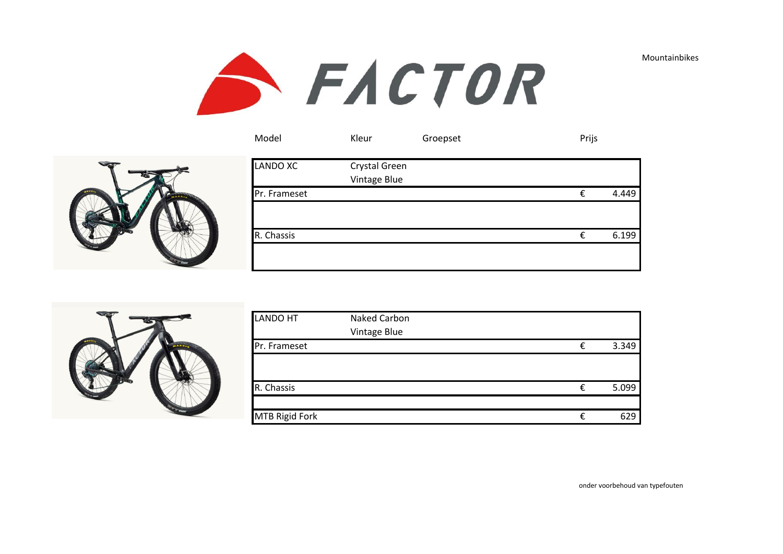





| <b>LANDO XC</b> | Crystal Green<br>Vintage Blue |   |       |
|-----------------|-------------------------------|---|-------|
| Pr. Frameset    |                               | € | 4.449 |
|                 |                               |   |       |
| R. Chassis      |                               | € | 6.199 |
|                 |                               |   |       |

Model Kleur Groepset Prijs



| <b>LANDO HT</b>       | Naked Carbon |   |       |
|-----------------------|--------------|---|-------|
|                       | Vintage Blue |   |       |
| Pr. Frameset          |              | € | 3.349 |
|                       |              |   |       |
|                       |              |   |       |
| R. Chassis            |              | € | 5.099 |
|                       |              |   |       |
| <b>MTB Rigid Fork</b> |              | € | 629   |

onder voorbehoud van typefouten